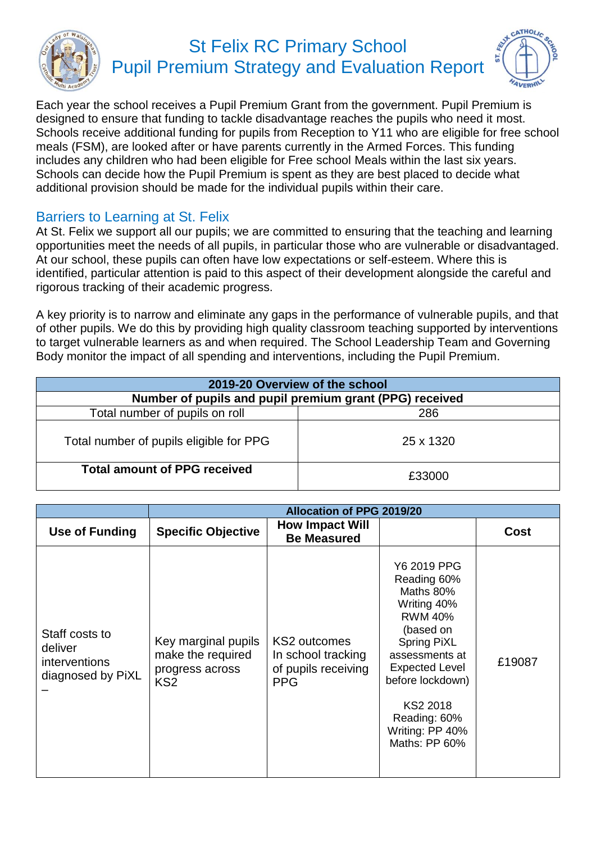

## St Felix RC Primary School Pupil Premium Strategy and Evaluation Report



Each year the school receives a Pupil Premium Grant from the government. Pupil Premium is designed to ensure that funding to tackle disadvantage reaches the pupils who need it most. Schools receive additional funding for pupils from Reception to Y11 who are eligible for free school meals (FSM), are looked after or have parents currently in the Armed Forces. This funding includes any children who had been eligible for Free school Meals within the last six years. Schools can decide how the Pupil Premium is spent as they are best placed to decide what additional provision should be made for the individual pupils within their care.

## Barriers to Learning at St. Felix

At St. Felix we support all our pupils; we are committed to ensuring that the teaching and learning opportunities meet the needs of all pupils, in particular those who are vulnerable or disadvantaged. At our school, these pupils can often have low expectations or self-esteem. Where this is identified, particular attention is paid to this aspect of their development alongside the careful and rigorous tracking of their academic progress.

A key priority is to narrow and eliminate any gaps in the performance of vulnerable pupils, and that of other pupils. We do this by providing high quality classroom teaching supported by interventions to target vulnerable learners as and when required. The School Leadership Team and Governing Body monitor the impact of all spending and interventions, including the Pupil Premium.

| 2019-20 Overview of the school                          |           |  |  |  |  |
|---------------------------------------------------------|-----------|--|--|--|--|
| Number of pupils and pupil premium grant (PPG) received |           |  |  |  |  |
| Total number of pupils on roll                          | 286       |  |  |  |  |
| Total number of pupils eligible for PPG                 | 25 x 1320 |  |  |  |  |
| <b>Total amount of PPG received</b>                     | £33000    |  |  |  |  |

|                                                                        | <b>Allocation of PPG 2019/20</b>                                               |                                                                         |                                                                                                                                                                                                                                            |             |  |
|------------------------------------------------------------------------|--------------------------------------------------------------------------------|-------------------------------------------------------------------------|--------------------------------------------------------------------------------------------------------------------------------------------------------------------------------------------------------------------------------------------|-------------|--|
| Use of Funding                                                         | <b>Specific Objective</b>                                                      | <b>How Impact Will</b><br><b>Be Measured</b>                            |                                                                                                                                                                                                                                            | <b>Cost</b> |  |
| Staff costs to<br>deliver<br><i>interventions</i><br>diagnosed by PiXL | Key marginal pupils<br>make the required<br>progress across<br>KS <sub>2</sub> | KS2 outcomes<br>In school tracking<br>of pupils receiving<br><b>PPG</b> | Y6 2019 PPG<br>Reading 60%<br>Maths 80%<br>Writing 40%<br><b>RWM 40%</b><br>(based on<br><b>Spring PiXL</b><br>assessments at<br><b>Expected Level</b><br>before lockdown)<br>KS2 2018<br>Reading: 60%<br>Writing: PP 40%<br>Maths: PP 60% | £19087      |  |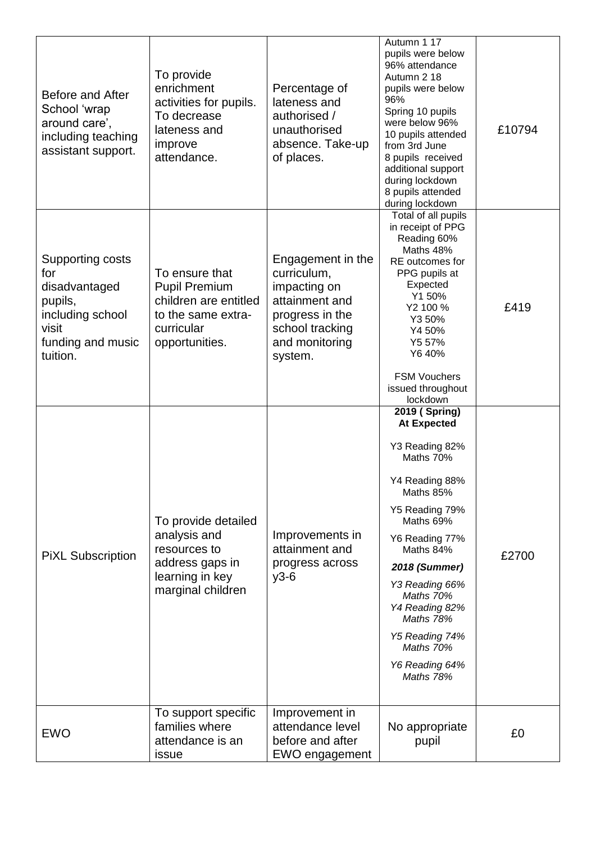| Before and After<br>School 'wrap<br>around care',<br>including teaching<br>assistant support.                     | To provide<br>enrichment<br>activities for pupils.<br>To decrease<br>lateness and<br>improve<br>attendance.           | Percentage of<br>lateness and<br>authorised /<br>unauthorised<br>absence. Take-up<br>of places.                                       | Autumn 1 17<br>pupils were below<br>96% attendance<br>Autumn 2 18<br>pupils were below<br>96%<br>Spring 10 pupils<br>were below 96%<br>10 pupils attended<br>from 3rd June<br>8 pupils received<br>additional support<br>during lockdown<br>8 pupils attended<br>during lockdown                                    | £10794 |
|-------------------------------------------------------------------------------------------------------------------|-----------------------------------------------------------------------------------------------------------------------|---------------------------------------------------------------------------------------------------------------------------------------|---------------------------------------------------------------------------------------------------------------------------------------------------------------------------------------------------------------------------------------------------------------------------------------------------------------------|--------|
| Supporting costs<br>for<br>disadvantaged<br>pupils,<br>including school<br>visit<br>funding and music<br>tuition. | To ensure that<br><b>Pupil Premium</b><br>children are entitled<br>to the same extra-<br>curricular<br>opportunities. | Engagement in the<br>curriculum,<br>impacting on<br>attainment and<br>progress in the<br>school tracking<br>and monitoring<br>system. | Total of all pupils<br>in receipt of PPG<br>Reading 60%<br>Maths 48%<br>RE outcomes for<br>PPG pupils at<br>Expected<br>Y1 50%<br>Y2 100 %<br>Y3 50%<br>Y4 50%<br>Y5 57%<br>Y6 40%<br><b>FSM Vouchers</b><br>issued throughout<br>lockdown                                                                          | £419   |
| <b>PIXL Subscription</b>                                                                                          | To provide detailed<br>analysis and<br>resources to<br>address gaps in<br>learning in key<br>marginal children        | Improvements in<br>attainment and<br>progress across<br>$y3-6$                                                                        | 2019 (Spring)<br><b>At Expected</b><br>Y3 Reading 82%<br>Maths 70%<br>Y4 Reading 88%<br>Maths 85%<br>Y5 Reading 79%<br>Maths 69%<br>Y6 Reading 77%<br>Maths 84%<br><b>2018 (Summer)</b><br>Y3 Reading 66%<br>Maths 70%<br>Y4 Reading 82%<br>Maths 78%<br>Y5 Reading 74%<br>Maths 70%<br>Y6 Reading 64%<br>Maths 78% | £2700  |
| <b>EWO</b>                                                                                                        | To support specific<br>families where<br>attendance is an<br>issue                                                    | Improvement in<br>attendance level<br>before and after<br>EWO engagement                                                              | No appropriate<br>pupil                                                                                                                                                                                                                                                                                             | £0     |